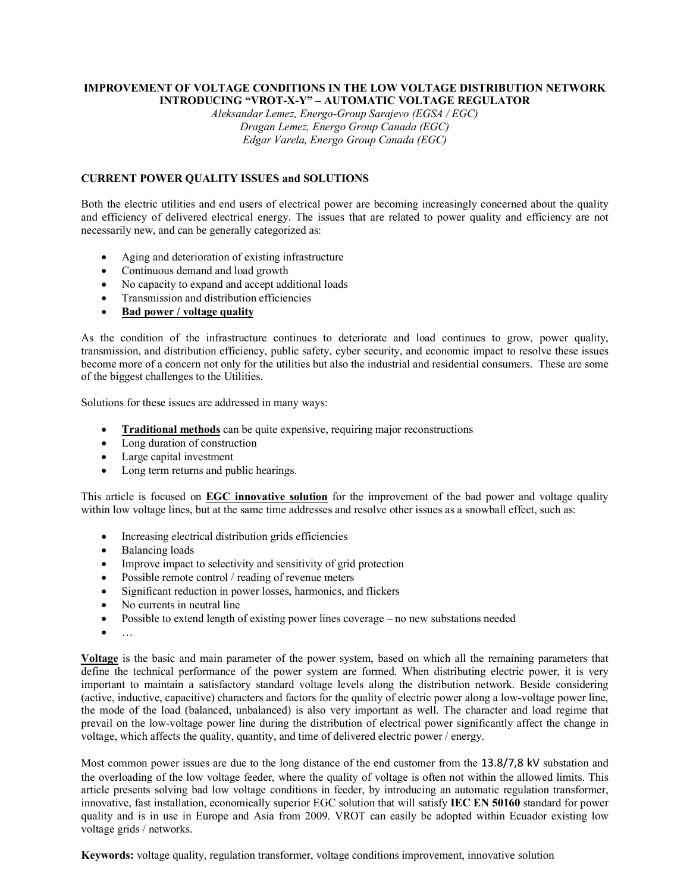## **IMPROVEMENT OF VOLTAGE CONDITIONS IN THE LOW VOLTAGE DISTRIBUTION NETWORK INTRODUCING "VROT-X-Y" – AUTOMATIC VOLTAGE REGULATOR**

*Aleksandar Lemez, Energo-Group Sarajevo (EGSA / EGC) Dragan Lemez, Energo Group Canada (EGC) Edgar Varela, Energo Group Canada (EGC)* 

# **CURRENT POWER QUALITY ISSUES and SOLUTIONS**

Both the electric utilities and end users of electrical power are becoming increasingly concerned about the quality and efficiency of delivered electrical energy. The issues that are related to power quality and efficiency are not necessarily new, and can be generally categorized as:

- Aging and deterioration of existing infrastructure
- Continuous demand and load growth
- No capacity to expand and accept additional loads
- Transmission and distribution efficiencies
- **Bad power / voltage quality**

As the condition of the infrastructure continues to deteriorate and load continues to grow, power quality, transmission, and distribution efficiency, public safety, cyber security, and economic impact to resolve these issues become more of a concern not only for the utilities but also the industrial and residential consumers. These are some of the biggest challenges to the Utilities.

Solutions for these issues are addressed in many ways:

- **Traditional methods** can be quite expensive, requiring major reconstructions
- Long duration of construction
- Large capital investment
- Long term returns and public hearings.

This article is focused on **EGC innovative solution** for the improvement of the bad power and voltage quality within low voltage lines, but at the same time addresses and resolve other issues as a snowball effect, such as:

- Increasing electrical distribution grids efficiencies
- Balancing loads
- Improve impact to selectivity and sensitivity of grid protection
- Possible remote control / reading of revenue meters
- Significant reduction in power losses, harmonics, and flickers
- No currents in neutral line
- Possible to extend length of existing power lines coverage no new substations needed
- …

**Voltage** is the basic and main parameter of the power system, based on which all the remaining parameters that define the technical performance of the power system are formed. When distributing electric power, it is very important to maintain a satisfactory standard voltage levels along the distribution network. Beside considering (active, inductive, capacitive) characters and factors for the quality of electric power along a low-voltage power line, the mode of the load (balanced, unbalanced) is also very important as well. The character and load regime that prevail on the low-voltage power line during the distribution of electrical power significantly affect the change in voltage, which affects the quality, quantity, and time of delivered electric power / energy.

Most common power issues are due to the long distance of the end customer from the 13.8/7,8 kV substation and the overloading of the low voltage feeder, where the quality of voltage is often not within the allowed limits. This article presents solving bad low voltage conditions in feeder, by introducing an automatic regulation transformer, innovative, fast installation, economically superior EGC solution that will satisfy **IEC EN 50160** standard for power quality and is in use in Europe and Asia from 2009. VROT can easily be adopted within Ecuador existing low voltage grids / networks.

**Keywords:** voltage quality, regulation transformer, voltage conditions improvement, innovative solution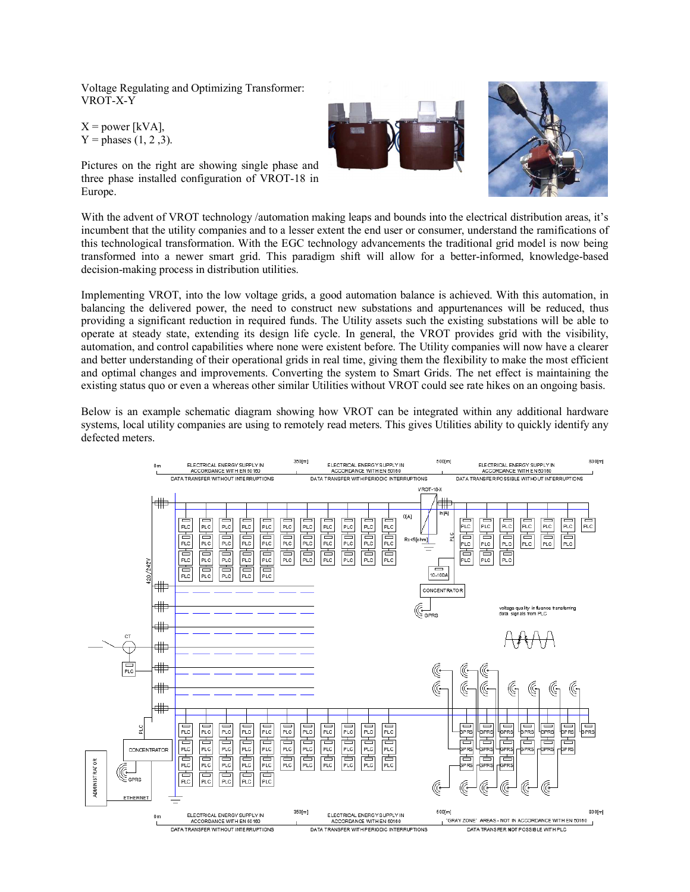Voltage Regulating and Optimizing Transformer: VROT-X-Y

 $X = power$  [kVA],  $Y =$  phases  $(1, 2, 3)$ .





Pictures on the right are showing single phase and three phase installed configuration of VROT-18 in Europe.

With the advent of VROT technology /automation making leaps and bounds into the electrical distribution areas, it's incumbent that the utility companies and to a lesser extent the end user or consumer, understand the ramifications of this technological transformation. With the EGC technology advancements the traditional grid model is now being transformed into a newer smart grid. This paradigm shift will allow for a better-informed, knowledge-based decision-making process in distribution utilities.

Implementing VROT, into the low voltage grids, a good automation balance is achieved. With this automation, in balancing the delivered power, the need to construct new substations and appurtenances will be reduced, thus providing a significant reduction in required funds. The Utility assets such the existing substations will be able to operate at steady state, extending its design life cycle. In general, the VROT provides grid with the visibility, automation, and control capabilities where none were existent before. The Utility companies will now have a clearer and better understanding of their operational grids in real time, giving them the flexibility to make the most efficient and optimal changes and improvements. Converting the system to Smart Grids. The net effect is maintaining the existing status quo or even a whereas other similar Utilities without VROT could see rate hikes on an ongoing basis.

Below is an example schematic diagram showing how VROT can be integrated within any additional hardware systems, local utility companies are using to remotely read meters. This gives Utilities ability to quickly identify any defected meters.

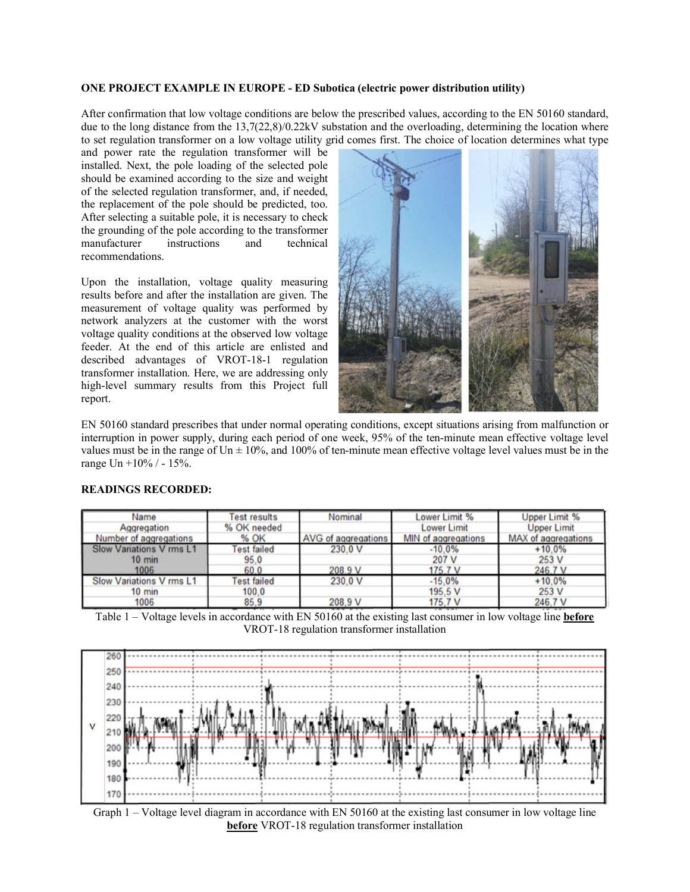# **ONE PROJECT EXAMPLE IN EUROPE - ED Subotica (electric power distribution utility)**

After confirmation that low voltage conditions are below the prescribed values, according to the EN 50160 standard, due to the long distance from the 13,7(22,8)/0.22kV substation and the overloading, determining the location where to set regulation transformer on a low voltage utility grid comes first. The choice of location determines what type

and power rate the regulation transformer will be installed. Next, the pole loading of the selected pole should be examined according to the size and weight of the selected regulation transformer, and, if needed, the replacement of the pole should be predicted, too. After selecting a suitable pole, it is necessary to check the grounding of the pole according to the transformer<br>manufacturer instructions and technical manufacturer instructions and recommendations.

Upon the installation, voltage quality measuring results before and after the installation are given. The measurement of voltage quality was performed by network analyzers at the customer with the worst voltage quality conditions at the observed low voltage feeder. At the end of this article are enlisted and described advantages of VROT-18-1 regulation transformer installation. Here, we are addressing only high-level summary results from this Project full report.



EN 50160 standard prescribes that under normal operating conditions, except situations arising from malfunction or interruption in power supply, during each period of one week, 95% of the ten-minute mean effective voltage level values must be in the range of Un  $\pm$  10%, and 100% of ten-minute mean effective voltage level values must be in the range Un +10% / - 15%.

| Name                            | <b>Test results</b> | Nominal             | Lower Limit %              | <b>Upper Limit %</b>       |
|---------------------------------|---------------------|---------------------|----------------------------|----------------------------|
| Aggregation                     | % OK needed         |                     | <b>Lower Limit</b>         | <b>Upper Limit</b>         |
| Number of aggregations          | % OK                | AVG of aggregations | <b>MIN</b> of aggregations | <b>MAX</b> of aggregations |
| <b>Slow Variations V rms L1</b> | <b>Test failed</b>  | 230.0 V             | $-10.0%$                   | $+10.0%$                   |
| $10 \text{ min}$                | 95.0                |                     | 207 V                      | 253 V                      |
| 1006                            | 60.0                | 208.9 V             | 175.7 V                    | 246.7 V                    |
| <b>Slow Variations V rms L1</b> | <b>Test failed</b>  | 230.0 V             | $-15.0%$                   | $+10.0%$                   |
| $10 \text{ min}$                | 100.0               |                     | 195.5 V                    | 253 V                      |
| 1006                            | 85.9                | 208.9 V             | 175,7 V                    | 246,7V                     |

### **READINGS RECORDED:**

Table 1 – Voltage levels in accordance with EN 50160 at the existing last consumer in low voltage line **before** VROT-18 regulation transformer installation



Graph 1 – Voltage level diagram in accordance with EN 50160 at the existing last consumer in low voltage line **before** VROT-18 regulation transformer installation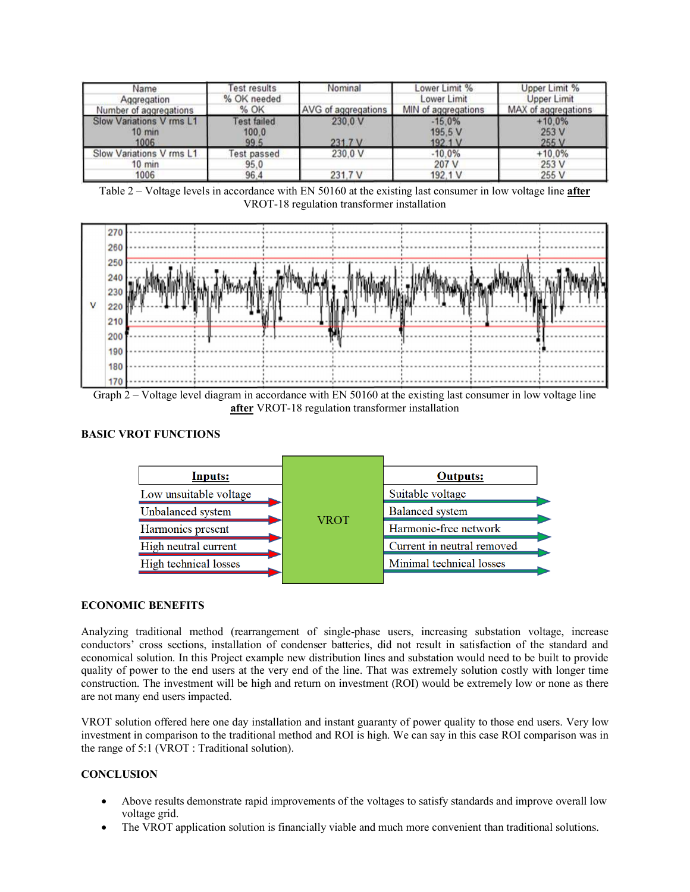| Name                                                 | <b>Test results</b>                 | Nominal             | Lower Limit %                  | Upper Limit %              |
|------------------------------------------------------|-------------------------------------|---------------------|--------------------------------|----------------------------|
| Aggregation                                          | % OK needed                         |                     | Lower Limit                    | Upper Limit                |
| Number of aggregations                               | % OK                                | AVG of aggregations | MIN of aggregations            | MAX of aggregations        |
| Slow Variations V rms L1<br>$10 \text{ min}$<br>1006 | <b>Test failed</b><br>100.0<br>99.5 | 230.0 V<br>231.7 V  | $-15.0%$<br>195.5 V<br>192.1 V | $+10.0%$<br>253 V<br>255 V |
| Slow Variations V rms L1                             | <b>Test passed</b>                  | 230.0 V             | $-10.0%$                       | $+10.0%$                   |
| $10$ min                                             | 95.0                                |                     | 207 V                          | 253 V                      |
| 1006                                                 | 96.4                                | 231,7V              | 192.1 V                        | 255 V                      |

Table 2 – Voltage levels in accordance with EN 50160 at the existing last consumer in low voltage line **after** VROT-18 regulation transformer installation



Graph 2 – Voltage level diagram in accordance with EN 50160 at the existing last consumer in low voltage line **after** VROT-18 regulation transformer installation

# **BASIC VROT FUNCTIONS**



#### **ECONOMIC BENEFITS**

Analyzing traditional method (rearrangement of single-phase users, increasing substation voltage, increase conductors' cross sections, installation of condenser batteries, did not result in satisfaction of the standard and economical solution. In this Project example new distribution lines and substation would need to be built to provide quality of power to the end users at the very end of the line. That was extremely solution costly with longer time construction. The investment will be high and return on investment (ROI) would be extremely low or none as there are not many end users impacted.

VROT solution offered here one day installation and instant guaranty of power quality to those end users. Very low investment in comparison to the traditional method and ROI is high. We can say in this case ROI comparison was in the range of 5:1 (VROT : Traditional solution).

## **CONCLUSION**

- Above results demonstrate rapid improvements of the voltages to satisfy standards and improve overall low voltage grid.
- The VROT application solution is financially viable and much more convenient than traditional solutions.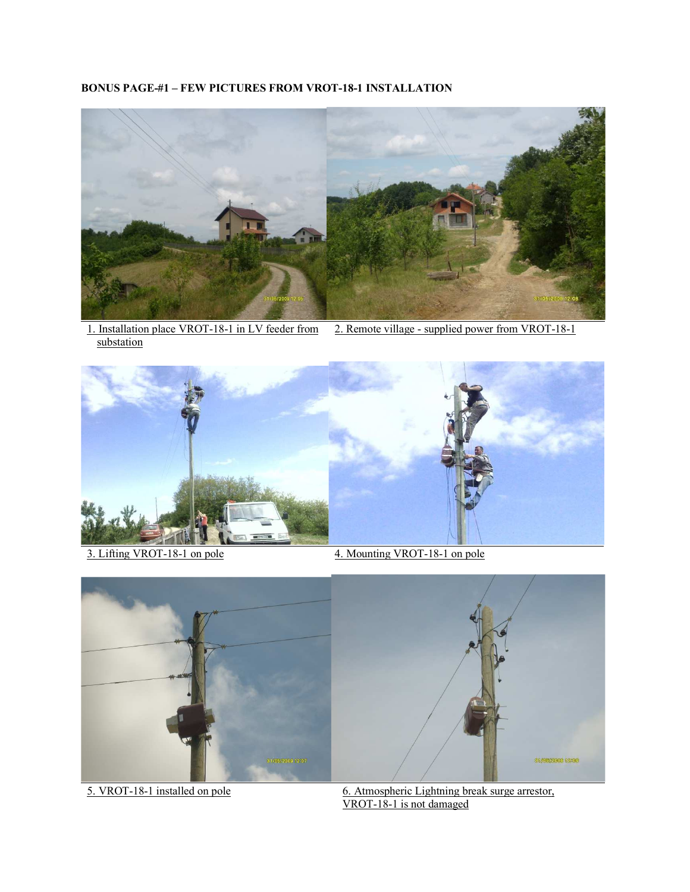# **BONUS PAGE-#1 – FEW PICTURES FROM VROT-18-1 INSTALLATION**



1. Installation place VROT-18-1 in LV feeder from substation





- 
- 3. Lifting VROT-18-1 on pole 4. Mounting VROT-18-1 on pole





5. VROT-18-1 installed on pole 6. Atmospheric Lightning break surge arrestor, VROT-18-1 is not damaged